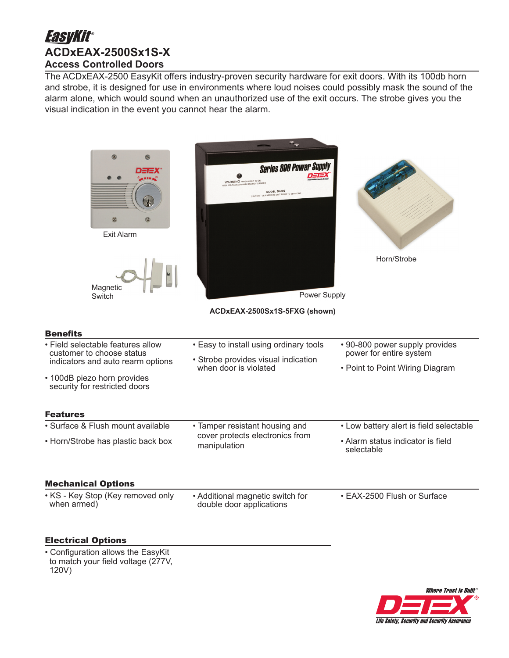# **EasyKit® ACDxEAX-2500Sx1S-X Access Controlled Doors**

The ACDxEAX-2500 EasyKit offers industry-proven security hardware for exit doors. With its 100db horn and strobe, it is designed for use in environments where loud noises could possibly mask the sound of the alarm alone, which would sound when an unauthorized use of the exit occurs. The strobe gives you the visual indication in the event you cannot hear the alarm.



 to match your field voltage (277V, 120V)